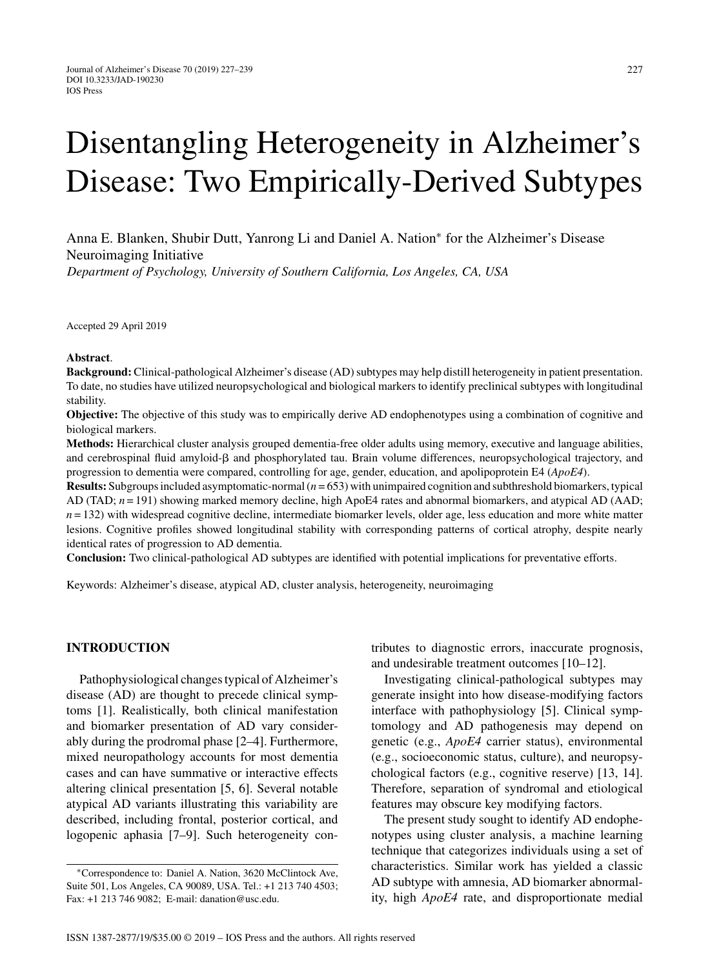# Disentangling Heterogeneity in Alzheimer's Disease: Two Empirically-Derived Subtypes

Anna E. Blanken, Shubir Dutt, Yanrong Li and Daniel A. Nation<sup>∗</sup> for the Alzheimer's Disease Neuroimaging Initiative

*Department of Psychology, University of Southern California, Los Angeles, CA, USA*

Accepted 29 April 2019

## **Abstract**.

**Background:** Clinical-pathological Alzheimer's disease (AD) subtypes may help distill heterogeneity in patient presentation. To date, no studies have utilized neuropsychological and biological markers to identify preclinical subtypes with longitudinal stability.

**Objective:** The objective of this study was to empirically derive AD endophenotypes using a combination of cognitive and biological markers.

**Methods:** Hierarchical cluster analysis grouped dementia-free older adults using memory, executive and language abilities, and cerebrospinal fluid amyloid- $\beta$  and phosphorylated tau. Brain volume differences, neuropsychological trajectory, and progression to dementia were compared, controlling for age, gender, education, and apolipoprotein E4 (*ApoE4*).

**Results:** Subgroups included asymptomatic-normal (*n* = 653) with unimpaired cognition and subthreshold biomarkers, typical AD (TAD;  $n = 191$ ) showing marked memory decline, high ApoE4 rates and abnormal biomarkers, and atypical AD (AAD;  $n = 132$ ) with widespread cognitive decline, intermediate biomarker levels, older age, less education and more white matter lesions. Cognitive profiles showed longitudinal stability with corresponding patterns of cortical atrophy, despite nearly identical rates of progression to AD dementia.

**Conclusion:** Two clinical-pathological AD subtypes are identified with potential implications for preventative efforts.

Keywords: Alzheimer's disease, atypical AD, cluster analysis, heterogeneity, neuroimaging

# **INTRODUCTION**

Pathophysiological changes typical of Alzheimer's disease (AD) are thought to precede clinical symptoms [1]. Realistically, both clinical manifestation and biomarker presentation of AD vary considerably during the prodromal phase [2–4]. Furthermore, mixed neuropathology accounts for most dementia cases and can have summative or interactive effects altering clinical presentation [5, 6]. Several notable atypical AD variants illustrating this variability are described, including frontal, posterior cortical, and logopenic aphasia [7–9]. Such heterogeneity contributes to diagnostic errors, inaccurate prognosis, and undesirable treatment outcomes [10–12].

Investigating clinical-pathological subtypes may generate insight into how disease-modifying factors interface with pathophysiology [5]. Clinical symptomology and AD pathogenesis may depend on genetic (e.g., *ApoE4* carrier status), environmental (e.g., socioeconomic status, culture), and neuropsychological factors (e.g., cognitive reserve) [13, 14]. Therefore, separation of syndromal and etiological features may obscure key modifying factors.

The present study sought to identify AD endophenotypes using cluster analysis, a machine learning technique that categorizes individuals using a set of characteristics. Similar work has yielded a classic AD subtype with amnesia, AD biomarker abnormality, high *ApoE4* rate, and disproportionate medial

<sup>∗</sup>Correspondence to: Daniel A. Nation, 3620 McClintock Ave, Suite 501, Los Angeles, CA 90089, USA. Tel.: +1 213 740 4503; Fax: +1 213 746 9082; E-mail: [danation@usc.edu](mailto:danation@usc.edu).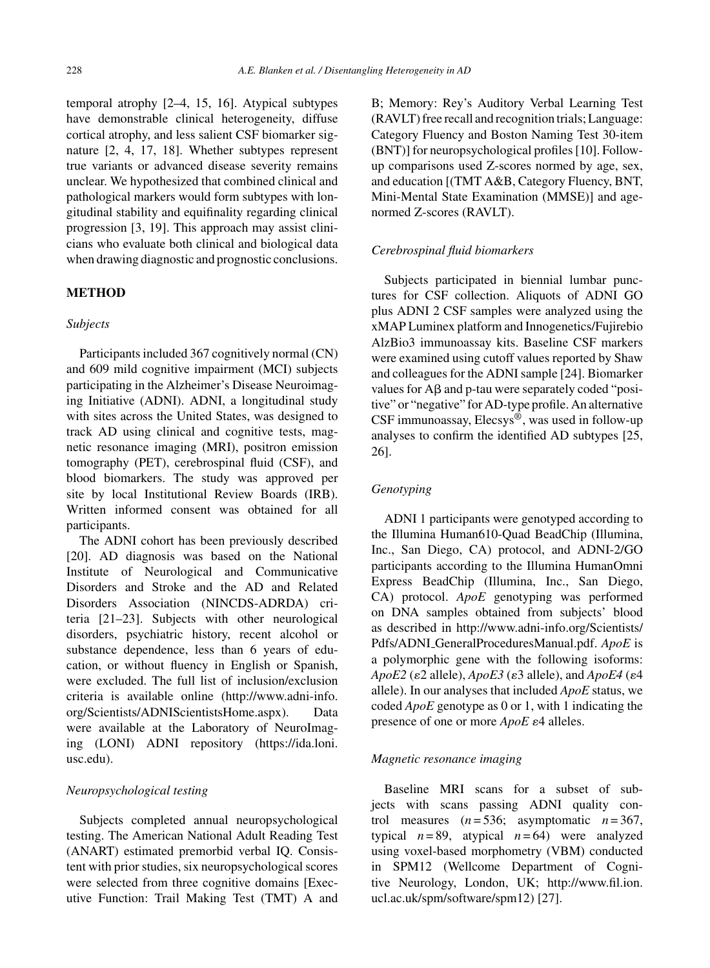temporal atrophy [2–4, 15, 16]. Atypical subtypes have demonstrable clinical heterogeneity, diffuse cortical atrophy, and less salient CSF biomarker signature [2, 4, 17, 18]. Whether subtypes represent true variants or advanced disease severity remains unclear. We hypothesized that combined clinical and pathological markers would form subtypes with longitudinal stability and equifinality regarding clinical progression [3, 19]. This approach may assist clinicians who evaluate both clinical and biological data when drawing diagnostic and prognostic conclusions.

# **METHOD**

# *Subjects*

Participants included 367 cognitively normal (CN) and 609 mild cognitive impairment (MCI) subjects participating in the Alzheimer's Disease Neuroimaging Initiative (ADNI). ADNI, a longitudinal study with sites across the United States, was designed to track AD using clinical and cognitive tests, magnetic resonance imaging (MRI), positron emission tomography (PET), cerebrospinal fluid (CSF), and blood biomarkers. The study was approved per site by local Institutional Review Boards (IRB). Written informed consent was obtained for all participants.

The ADNI cohort has been previously described [20]. AD diagnosis was based on the National Institute of Neurological and Communicative Disorders and Stroke and the AD and Related Disorders Association (NINCDS-ADRDA) criteria [21–23]. Subjects with other neurological disorders, psychiatric history, recent alcohol or substance dependence, less than 6 years of education, or without fluency in English or Spanish, were excluded. The full list of inclusion/exclusion criteria is available online [\(http://www.adni-info.](http://www.adni-info.org/Scientists/ADNIScientistsHome.aspx) [org/Scientists/ADNIScientistsHome.aspx](http://www.adni-info.org/Scientists/ADNIScientistsHome.aspx)). Data were available at the Laboratory of NeuroImaging (LONI) ADNI repository ([https://ida.loni.](https://ida.loni.usc.edu) [usc.edu](https://ida.loni.usc.edu)).

# *Neuropsychological testing*

Subjects completed annual neuropsychological testing. The American National Adult Reading Test (ANART) estimated premorbid verbal IQ. Consistent with prior studies, six neuropsychological scores were selected from three cognitive domains [Executive Function: Trail Making Test (TMT) A and B; Memory: Rey's Auditory Verbal Learning Test (RAVLT) free recall and recognition trials; Language: Category Fluency and Boston Naming Test 30-item (BNT)] for neuropsychological profiles [10]. Followup comparisons used Z-scores normed by age, sex, and education [(TMT A&B, Category Fluency, BNT, Mini-Mental State Examination (MMSE)] and agenormed Z-scores (RAVLT).

## *Cerebrospinal fluid biomarkers*

Subjects participated in biennial lumbar punctures for CSF collection. Aliquots of ADNI GO plus ADNI 2 CSF samples were analyzed using the xMAP Luminex platform and Innogenetics/Fujirebio AlzBio3 immunoassay kits. Baseline CSF markers were examined using cutoff values reported by Shaw and colleagues for the ADNI sample [24]. Biomarker values for  $A\beta$  and p-tau were separately coded "positive" or "negative" for AD-type profile. An alternative CSF immunoassay, Elecsys®, was used in follow-up analyses to confirm the identified AD subtypes [25, 26].

# *Genotyping*

ADNI 1 participants were genotyped according to the Illumina Human610-Quad BeadChip (Illumina, Inc., San Diego, CA) protocol, and ADNI-2/GO participants according to the Illumina HumanOmni Express BeadChip (Illumina, Inc., San Diego, CA) protocol. *ApoE* genotyping was performed on DNA samples obtained from subjects' blood as described in [http://www.adni-info.org/Scientists/](http://www.adni-info.org/Scientists/Pdfs/ADNI_GeneralProceduresManual.pdf) Pdfs/ADNI [GeneralProceduresManual.pdf.](http://www.adni-info.org/Scientists/Pdfs/ADNI_GeneralProceduresManual.pdf) *ApoE* is a polymorphic gene with the following isoforms:  $ApoE2$  ( $\varepsilon$ 2 allele),  $ApoE3$  ( $\varepsilon$ 3 allele), and  $ApoE4$  ( $\varepsilon$ 4 allele). In our analyses that included *ApoE* status, we coded *ApoE* genotype as 0 or 1, with 1 indicating the presence of one or more *ApoE*  $\varepsilon$ 4 alleles.

# *Magnetic resonance imaging*

Baseline MRI scans for a subset of subjects with scans passing ADNI quality control measures  $(n=536;$  asymptomatic  $n=367$ , typical  $n = 89$ , atypical  $n = 64$ ) were analyzed using voxel-based morphometry (VBM) conducted in SPM12 (Wellcome Department of Cognitive Neurology, London, UK; [http://www.fil.ion.](http://www.fil.ion.ucl.ac.uk/spm/software/spm12) [ucl.ac.uk/spm/software/spm12](http://www.fil.ion.ucl.ac.uk/spm/software/spm12)) [27].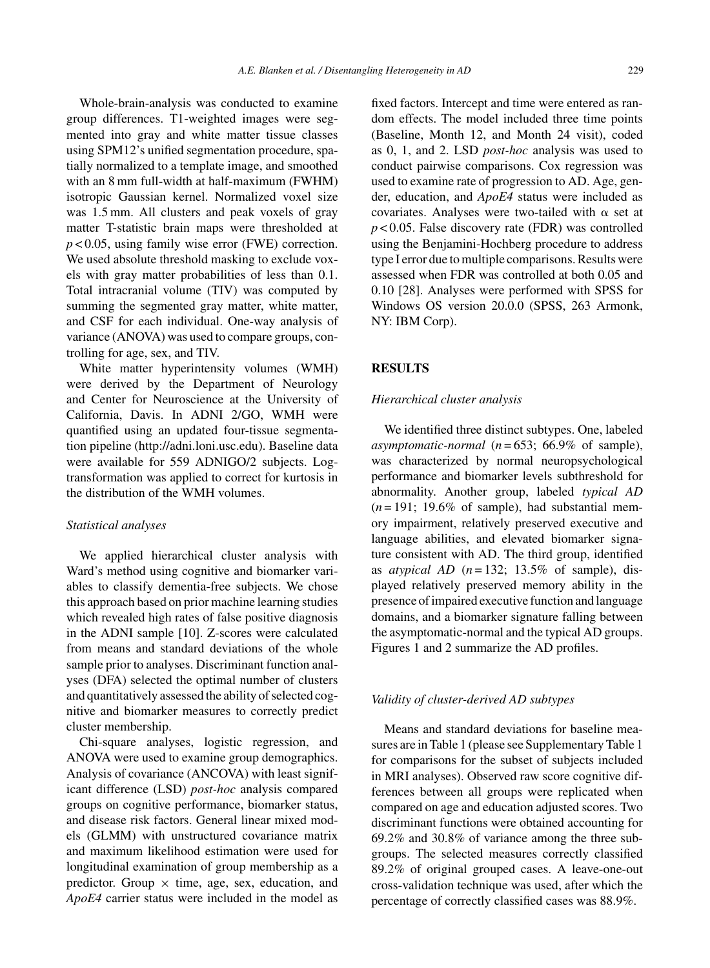Whole-brain-analysis was conducted to examine group differences. T1-weighted images were segmented into gray and white matter tissue classes using SPM12's unified segmentation procedure, spatially normalized to a template image, and smoothed with an 8 mm full-width at half-maximum (FWHM) isotropic Gaussian kernel. Normalized voxel size was 1.5 mm. All clusters and peak voxels of gray matter T-statistic brain maps were thresholded at *p* < 0.05, using family wise error (FWE) correction. We used absolute threshold masking to exclude voxels with gray matter probabilities of less than 0.1. Total intracranial volume (TIV) was computed by summing the segmented gray matter, white matter, and CSF for each individual. One-way analysis of variance (ANOVA) was used to compare groups, controlling for age, sex, and TIV.

White matter hyperintensity volumes (WMH) were derived by the Department of Neurology and Center for Neuroscience at the University of California, Davis. In ADNI 2/GO, WMH were quantified using an updated four-tissue segmentation pipeline [\(http://adni.loni.usc.edu](http://adni.loni.usc.edu)). Baseline data were available for 559 ADNIGO/2 subjects. Logtransformation was applied to correct for kurtosis in the distribution of the WMH volumes.

## *Statistical analyses*

We applied hierarchical cluster analysis with Ward's method using cognitive and biomarker variables to classify dementia-free subjects. We chose this approach based on prior machine learning studies which revealed high rates of false positive diagnosis in the ADNI sample [10]. Z-scores were calculated from means and standard deviations of the whole sample prior to analyses. Discriminant function analyses (DFA) selected the optimal number of clusters and quantitatively assessed the ability of selected cognitive and biomarker measures to correctly predict cluster membership.

Chi-square analyses, logistic regression, and ANOVA were used to examine group demographics. Analysis of covariance (ANCOVA) with least significant difference (LSD) *post-hoc* analysis compared groups on cognitive performance, biomarker status, and disease risk factors. General linear mixed models (GLMM) with unstructured covariance matrix and maximum likelihood estimation were used for longitudinal examination of group membership as a predictor. Group  $\times$  time, age, sex, education, and *ApoE4* carrier status were included in the model as

fixed factors. Intercept and time were entered as random effects. The model included three time points (Baseline, Month 12, and Month 24 visit), coded as 0, 1, and 2. LSD *post-hoc* analysis was used to conduct pairwise comparisons. Cox regression was used to examine rate of progression to AD. Age, gender, education, and *ApoE4* status were included as covariates. Analyses were two-tailed with  $\alpha$  set at *p* < 0.05. False discovery rate (FDR) was controlled using the Benjamini-Hochberg procedure to address type I error due to multiple comparisons. Results were assessed when FDR was controlled at both 0.05 and 0.10 [28]. Analyses were performed with SPSS for Windows OS version 20.0.0 (SPSS, 263 Armonk, NY: IBM Corp).

# **RESULTS**

# *Hierarchical cluster analysis*

We identified three distinct subtypes. One, labeled *asymptomatic-normal* (*n* = 653; 66.9% of sample), was characterized by normal neuropsychological performance and biomarker levels subthreshold for abnormality. Another group, labeled *typical AD*  $(n=191; 19.6\%$  of sample), had substantial memory impairment, relatively preserved executive and language abilities, and elevated biomarker signature consistent with AD. The third group, identified as *atypical AD*  $(n=132; 13.5\%$  of sample), displayed relatively preserved memory ability in the presence of impaired executive function and language domains, and a biomarker signature falling between the asymptomatic-normal and the typical AD groups. Figures 1 and 2 summarize the AD profiles.

#### *Validity of cluster-derived AD subtypes*

Means and standard deviations for baseline measures are in Table 1 (please see Supplementary Table 1 for comparisons for the subset of subjects included in MRI analyses). Observed raw score cognitive differences between all groups were replicated when compared on age and education adjusted scores. Two discriminant functions were obtained accounting for 69.2% and 30.8% of variance among the three subgroups. The selected measures correctly classified 89.2% of original grouped cases. A leave-one-out cross-validation technique was used, after which the percentage of correctly classified cases was 88.9%.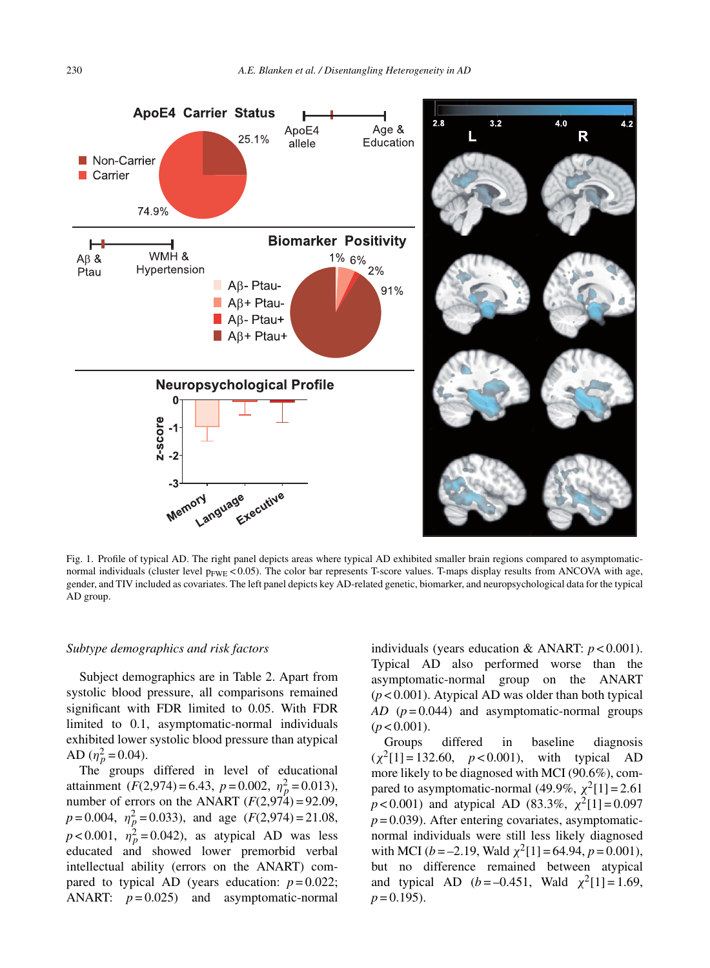

Fig. 1. Profile of typical AD. The right panel depicts areas where typical AD exhibited smaller brain regions compared to asymptomaticnormal individuals (cluster level  $p_{FWE}$  < 0.05). The color bar represents T-score values. T-maps display results from ANCOVA with age, gender, and TIV included as covariates. The left panel depicts key AD-related genetic, biomarker, and neuropsychological data for the typical AD group.

## *Subtype demographics and risk factors*

Subject demographics are in Table 2. Apart from systolic blood pressure, all comparisons remained significant with FDR limited to 0.05. With FDR limited to 0.1, asymptomatic-normal individuals exhibited lower systolic blood pressure than atypical AD  $(\eta_p^2 = 0.04)$ .

The groups differed in level of educational attainment  $(F(2, 974) = 6.43, p = 0.002, \eta_p^2 = 0.013)$ , number of errors on the ANART  $(F(2, 974) = 92.09)$ ,  $p = 0.004$ ,  $\eta_p^2 = 0.033$ ), and age (*F*(2,974) = 21.08,  $p < 0.001$ ,  $\eta_p^2 = 0.042$ ), as atypical AD was less educated and showed lower premorbid verbal intellectual ability (errors on the ANART) compared to typical AD (years education:  $p = 0.022$ ; ANART:  $p = 0.025$ ) and asymptomatic-normal

individuals (years education & ANART: *p* < 0.001). Typical AD also performed worse than the asymptomatic-normal group on the ANART (*p* < 0.001). Atypical AD was older than both typical *AD* (*p* = 0.044) and asymptomatic-normal groups  $(p < 0.001)$ .

Groups differed in baseline diagnosis  $(\chi^2[1] = 132.60, p < 0.001)$ , with typical AD more likely to be diagnosed with MCI (90.6%), compared to asymptomatic-normal (49.9%,  $\chi^2[1] = 2.61$  $p < 0.001$ ) and atypical AD (83.3%,  $\chi^2[1] = 0.097$  $p = 0.039$ ). After entering covariates, asymptomaticnormal individuals were still less likely diagnosed with MCI ( $b = -2.19$ , Wald  $\chi^2[1] = 64.94$ ,  $p = 0.001$ ), but no difference remained between atypical and typical AD ( $b = -0.451$ , Wald  $\chi^2[1] = 1.69$ ,  $p = 0.195$ ).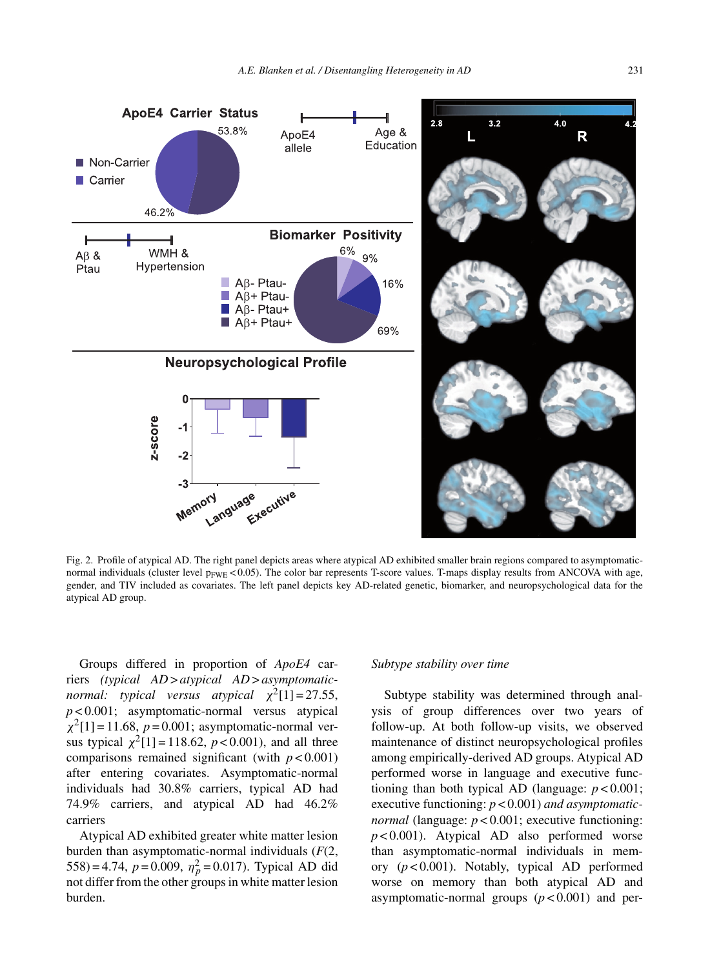

Fig. 2. Profile of atypical AD. The right panel depicts areas where atypical AD exhibited smaller brain regions compared to asymptomaticnormal individuals (cluster level  $p_{FWE}$  < 0.05). The color bar represents T-score values. T-maps display results from ANCOVA with age, gender, and TIV included as covariates. The left panel depicts key AD-related genetic, biomarker, and neuropsychological data for the atypical AD group.

Groups differed in proportion of *ApoE4* carriers *(typical AD* > *atypical AD* > *asymptomaticnormal: typical versus atypical*  $\chi^2[1] = 27.55$ , *p* < 0.001; asymptomatic-normal versus atypical  $\chi^2[1] = 11.68$ ,  $p = 0.001$ ; asymptomatic-normal versus typical  $\chi^2[1] = 118.62$ ,  $p < 0.001$ ), and all three comparisons remained significant (with  $p < 0.001$ ) after entering covariates. Asymptomatic-normal individuals had 30.8% carriers, typical AD had 74.9% carriers, and atypical AD had 46.2% carriers

Atypical AD exhibited greater white matter lesion burden than asymptomatic-normal individuals (*F*(2,  $(558) = 4.74$ ,  $p = 0.009$ ,  $\eta_p^2 = 0.017$ ). Typical AD did not differ from the other groups in white matter lesion burden.

#### *Subtype stability over time*

Subtype stability was determined through analysis of group differences over two years of follow-up. At both follow-up visits, we observed maintenance of distinct neuropsychological profiles among empirically-derived AD groups. Atypical AD performed worse in language and executive functioning than both typical AD (language: *p* < 0.001; executive functioning: *p* < 0.001) *and asymptomaticnormal* (language:  $p < 0.001$ ; executive functioning: *p* < 0.001). Atypical AD also performed worse than asymptomatic-normal individuals in memory (*p* < 0.001). Notably, typical AD performed worse on memory than both atypical AD and asymptomatic-normal groups  $(p < 0.001)$  and per-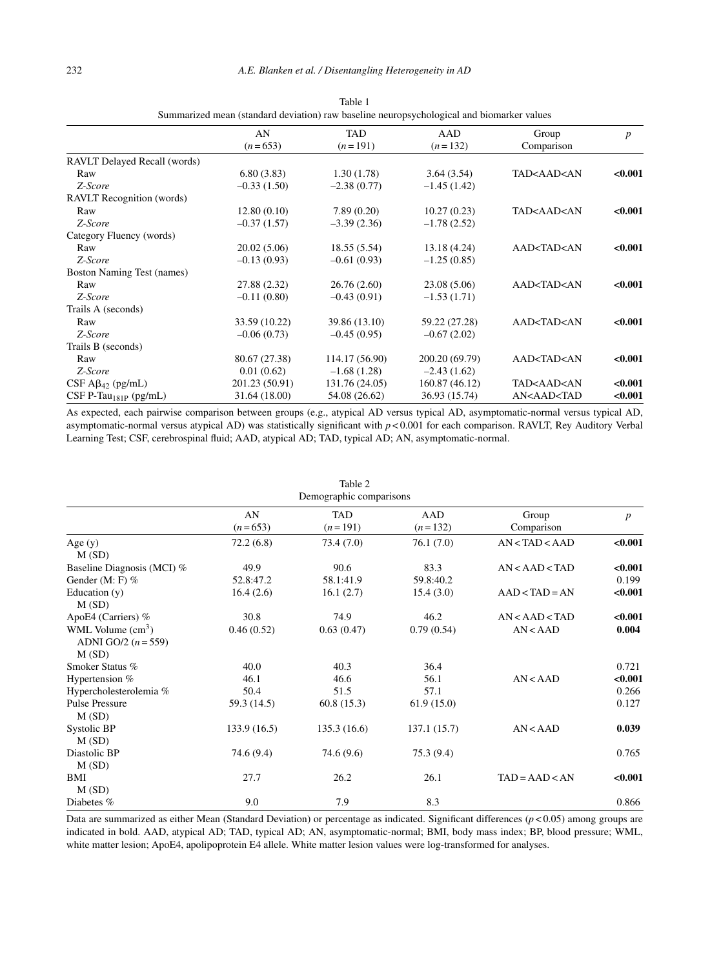|                                     | animarized mean (standard deviation) ruw busenne neuropsychological and biomarici values<br>AN<br>$(n=653)$ | TAD<br>$(n=191)$ | AAD<br>$(n=132)$ | Group<br>Comparison                                       | $\boldsymbol{p}$ |
|-------------------------------------|-------------------------------------------------------------------------------------------------------------|------------------|------------------|-----------------------------------------------------------|------------------|
|                                     |                                                                                                             |                  |                  |                                                           |                  |
| RAVLT Delayed Recall (words)        |                                                                                                             |                  |                  |                                                           |                  |
| Raw                                 | 6.80(3.83)                                                                                                  | 1.30(1.78)       | 3.64(3.54)       | TAD <aad<an< td=""><td>&lt; 0.001</td></aad<an<>          | < 0.001          |
| Z-Score                             | $-0.33(1.50)$                                                                                               | $-2.38(0.77)$    | $-1.45(1.42)$    |                                                           |                  |
| <b>RAVLT</b> Recognition (words)    |                                                                                                             |                  |                  |                                                           |                  |
| Raw                                 | 12.80(0.10)                                                                                                 | 7.89(0.20)       | 10.27(0.23)      | TAD <aad<an< td=""><td>&lt; 0.001</td></aad<an<>          | < 0.001          |
| Z-Score                             | $-0.37(1.57)$                                                                                               | $-3.39(2.36)$    | $-1.78(2.52)$    |                                                           |                  |
| Category Fluency (words)            |                                                                                                             |                  |                  |                                                           |                  |
| Raw                                 | 20.02(5.06)                                                                                                 | 18.55(5.54)      | 13.18 (4.24)     | AAD <tad<an< td=""><td>&lt; 0.001</td></tad<an<>          | < 0.001          |
| Z-Score                             | $-0.13(0.93)$                                                                                               | $-0.61(0.93)$    | $-1.25(0.85)$    |                                                           |                  |
| Boston Naming Test (names)          |                                                                                                             |                  |                  |                                                           |                  |
| Raw                                 | 27.88 (2.32)                                                                                                | 26.76(2.60)      | 23.08 (5.06)     | AAD <tad<an< td=""><td>&lt; 0.001</td></tad<an<>          | < 0.001          |
| Z-Score                             | $-0.11(0.80)$                                                                                               | $-0.43(0.91)$    | $-1.53(1.71)$    |                                                           |                  |
| Trails A (seconds)                  |                                                                                                             |                  |                  |                                                           |                  |
| Raw                                 | 33.59 (10.22)                                                                                               | 39.86 (13.10)    | 59.22 (27.28)    | AAD <tad<an< td=""><td>&lt; 0.001</td></tad<an<>          | < 0.001          |
| Z-Score                             | $-0.06(0.73)$                                                                                               | $-0.45(0.95)$    | $-0.67(2.02)$    |                                                           |                  |
| Trails B (seconds)                  |                                                                                                             |                  |                  |                                                           |                  |
| Raw                                 | 80.67 (27.38)                                                                                               | 114.17 (56.90)   | 200.20 (69.79)   | AAD <tad<an< td=""><td>&lt; 0.001</td></tad<an<>          | < 0.001          |
| Z-Score                             | 0.01(0.62)                                                                                                  | $-1.68(1.28)$    | $-2.43(1.62)$    |                                                           |                  |
| CSF $\text{A}\beta_{42}$ (pg/mL)    | 201.23 (50.91)                                                                                              | 131.76 (24.05)   | 160.87 (46.12)   | TAD <aad<an< td=""><td>&lt; 0.001</td></aad<an<>          | < 0.001          |
| $CSF$ P-Tau <sub>181P</sub> (pg/mL) | 31.64 (18.00)                                                                                               | 54.08 (26.62)    | 36.93 (15.74)    | AN <aad<tad< td=""><td><math>0.001</math></td></aad<tad<> | $0.001$          |

Table 1 Summarized mean (standard deviation) raw baseline neuropsychological and biomarker values

As expected, each pairwise comparison between groups (e.g., atypical AD versus typical AD, asymptomatic-normal versus typical AD, asymptomatic-normal versus atypical AD) was statistically significant with *p* < 0.001 for each comparison. RAVLT, Rey Auditory Verbal Learning Test; CSF, cerebrospinal fluid; AAD, atypical AD; TAD, typical AD; AN, asymptomatic-normal.

| Table 2                                                      |                 |                         |                  |                     |                  |  |  |  |
|--------------------------------------------------------------|-----------------|-------------------------|------------------|---------------------|------------------|--|--|--|
| Demographic comparisons                                      |                 |                         |                  |                     |                  |  |  |  |
|                                                              | AN<br>$(n=653)$ | <b>TAD</b><br>$(n=191)$ | AAD<br>$(n=132)$ | Group<br>Comparison | $\boldsymbol{p}$ |  |  |  |
| Age(y)<br>M(SD)                                              | 72.2(6.8)       | 73.4 (7.0)              | 76.1(7.0)        | AN < TAD < AAD      | < 0.001          |  |  |  |
| Baseline Diagnosis (MCI) %                                   | 49.9            | 90.6                    | 83.3             | AN < AAD < TAD      | < 0.001          |  |  |  |
| Gender $(M: F)$ %                                            | 52.8:47.2       | 58.1:41.9               | 59.8:40.2        |                     | 0.199            |  |  |  |
| Education $(y)$<br>M(SD)                                     | 16.4(2.6)       | 16.1(2.7)               | 15.4(3.0)        | $AAD < TAD = AN$    | < 0.001          |  |  |  |
| ApoE4 (Carriers) %                                           | 30.8            | 74.9                    | 46.2             | AN < AAD < TAD      | < 0.001          |  |  |  |
| WML Volume $\text{cm}^3$ )<br>ADNI GO/2 $(n = 559)$<br>M(SD) | 0.46(0.52)      | 0.63(0.47)              | 0.79(0.54)       | AN < AAD            | 0.004            |  |  |  |
| Smoker Status %                                              | 40.0            | 40.3                    | 36.4             |                     | 0.721            |  |  |  |
| Hypertension %                                               | 46.1            | 46.6                    | 56.1             | AN < AAD            | < 0.001          |  |  |  |
| Hypercholesterolemia %                                       | 50.4            | 51.5                    | 57.1             |                     | 0.266            |  |  |  |
| <b>Pulse Pressure</b><br>M(SD)                               | 59.3 (14.5)     | 60.8(15.3)              | 61.9(15.0)       |                     | 0.127            |  |  |  |
| Systolic BP<br>M(SD)                                         | 133.9(16.5)     | 135.3(16.6)             | 137.1 (15.7)     | AN < AAD            | 0.039            |  |  |  |
| Diastolic BP<br>M(SD)                                        | 74.6 (9.4)      | 74.6 (9.6)              | 75.3 (9.4)       |                     | 0.765            |  |  |  |
| BMI<br>M(SD)                                                 | 27.7            | 26.2                    | 26.1             | $TAD = AAD < AN$    | < 0.001          |  |  |  |
| Diabetes %                                                   | 9.0             | 7.9                     | 8.3              |                     | 0.866            |  |  |  |

Data are summarized as either Mean (Standard Deviation) or percentage as indicated. Significant differences (*p* < 0.05) among groups are indicated in bold. AAD, atypical AD; TAD, typical AD; AN, asymptomatic-normal; BMI, body mass index; BP, blood pressure; WML, white matter lesion; ApoE4, apolipoprotein E4 allele. White matter lesion values were log-transformed for analyses.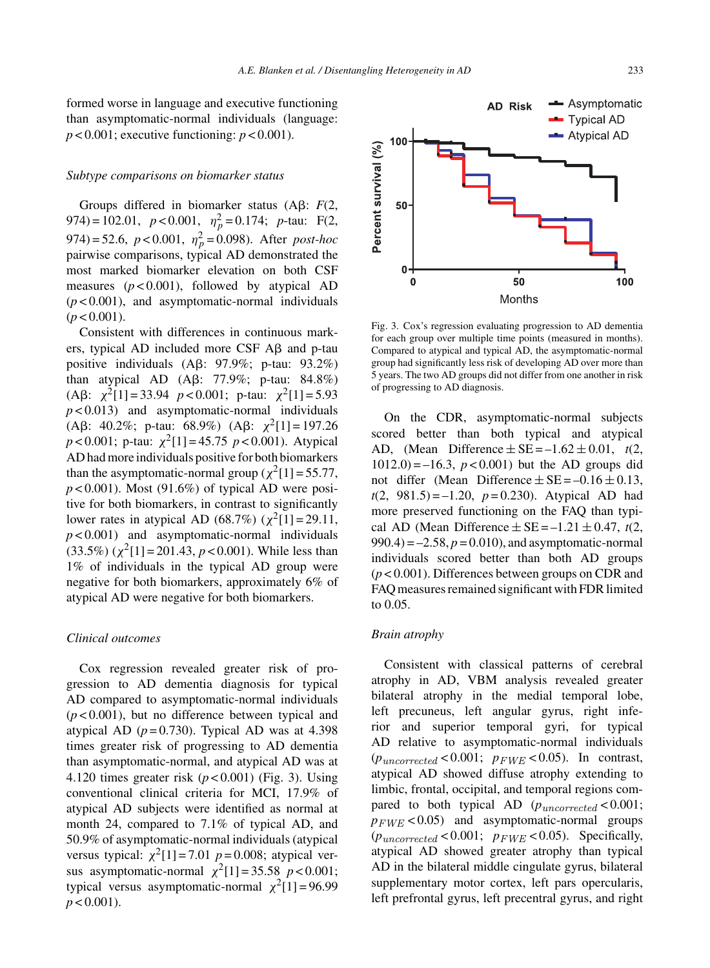formed worse in language and executive functioning than asymptomatic-normal individuals (language:  $p < 0.001$ ; executive functioning:  $p < 0.001$ ).

#### *Subtype comparisons on biomarker status*

Groups differed in biomarker status  $(A\beta; F(2),$ 974) = 102.01,  $p < 0.001$ ,  $\eta_p^2 = 0.174$ ;  $p$ -tau: F(2,  $974) = 52.6$ ,  $p < 0.001$ ,  $\eta_p^2 = 0.098$ ). After *post-hoc* pairwise comparisons, typical AD demonstrated the most marked biomarker elevation on both CSF measures  $(p<0.001)$ , followed by atypical AD (*p* < 0.001), and asymptomatic-normal individuals  $(p < 0.001)$ .

Consistent with differences in continuous markers, typical AD included more CSF  $\text{A}\beta$  and p-tau positive individuals  $(A\beta: 97.9\%; p-tau: 93.2\%)$ than atypical AD  $( \text{A}\beta: 77.9\% ; \text{ p-tau}: 84.8\%)$ (A $\beta$ :  $\chi^2$ [1] = 33.94 *p* < 0.001; p-tau:  $\chi^2$ [1] = 5.93 *p* < 0.013) and asymptomatic-normal individuals (A $\beta$ : 40.2%; p-tau: 68.9%) (A $\beta$ :  $\chi^2[1] = 197.26$  $p < 0.001$ ; p-tau:  $\chi^2[1] = 45.75$   $p < 0.001$ ). Atypical AD had more individuals positive for both biomarkers than the asymptomatic-normal group ( $\chi^2$ [1] = 55.77,  $p < 0.001$ ). Most (91.6%) of typical AD were positive for both biomarkers, in contrast to significantly lower rates in atypical AD (68.7%) ( $\chi^2$ [1] = 29.11,  $p < 0.001$ ) and asymptomatic-normal individuals (33.5%) ( $\chi^2$ [1] = 201.43, *p* < 0.001). While less than 1% of individuals in the typical AD group were negative for both biomarkers, approximately 6% of atypical AD were negative for both biomarkers.

#### *Clinical outcomes*

Cox regression revealed greater risk of progression to AD dementia diagnosis for typical AD compared to asymptomatic-normal individuals (*p* < 0.001), but no difference between typical and atypical AD  $(p=0.730)$ . Typical AD was at 4.398 times greater risk of progressing to AD dementia than asymptomatic-normal, and atypical AD was at 4.120 times greater risk (*p* < 0.001) (Fig. 3). Using conventional clinical criteria for MCI, 17.9% of atypical AD subjects were identified as normal at month 24, compared to 7.1% of typical AD, and 50.9% of asymptomatic-normal individuals (atypical versus typical:  $\chi^2[1] = 7.01$  *p* = 0.008; atypical versus asymptomatic-normal  $\chi^2[1] = 35.58$   $p < 0.001$ ; typical versus asymptomatic-normal  $\chi^2[1] = 96.99$  $p < 0.001$ ).



**AD Risk** 

for each group over multiple time points (measured in months). Compared to atypical and typical AD, the asymptomatic-normal group had significantly less risk of developing AD over more than 5 years. The two AD groups did not differ from one another in risk of progressing to AD diagnosis.

On the CDR, asymptomatic-normal subjects scored better than both typical and atypical AD, (Mean Difference  $\pm$  SE = –1.62  $\pm$  0.01, *t*(2,  $1012.0$ ) = –16.3,  $p < 0.001$ ) but the AD groups did not differ (Mean Difference  $\pm$  SE = –0.16  $\pm$  0.13,  $t(2, 981.5) = -1.20$ ,  $p = 0.230$ ). Atypical AD had more preserved functioning on the FAQ than typical AD (Mean Difference  $\pm$  SE = –1.21  $\pm$  0.47, *t*(2,  $990.4$ ) =  $-2.58$ ,  $p = 0.010$ ), and asymptomatic-normal individuals scored better than both AD groups (*p* < 0.001). Differences between groups on CDR and FAQ measures remained significant with FDR limited to 0.05.

## *Brain atrophy*

Consistent with classical patterns of cerebral atrophy in AD, VBM analysis revealed greater bilateral atrophy in the medial temporal lobe, left precuneus, left angular gyrus, right inferior and superior temporal gyri, for typical AD relative to asymptomatic-normal individuals  $(p_{uncorrected} < 0.001; p_{FWE} < 0.05)$ . In contrast, atypical AD showed diffuse atrophy extending to limbic, frontal, occipital, and temporal regions compared to both typical AD  $(p_{uncorrected} < 0.001;$  $p_{FWE}$  < 0.05) and asymptomatic-normal groups  $(p_{uncorrected} < 0.001; p_{FWE} < 0.05)$ . Specifically, atypical AD showed greater atrophy than typical AD in the bilateral middle cingulate gyrus, bilateral supplementary motor cortex, left pars opercularis, left prefrontal gyrus, left precentral gyrus, and right

100

Asymptomatic

 $\rightarrow$  Typical AD Atypical AD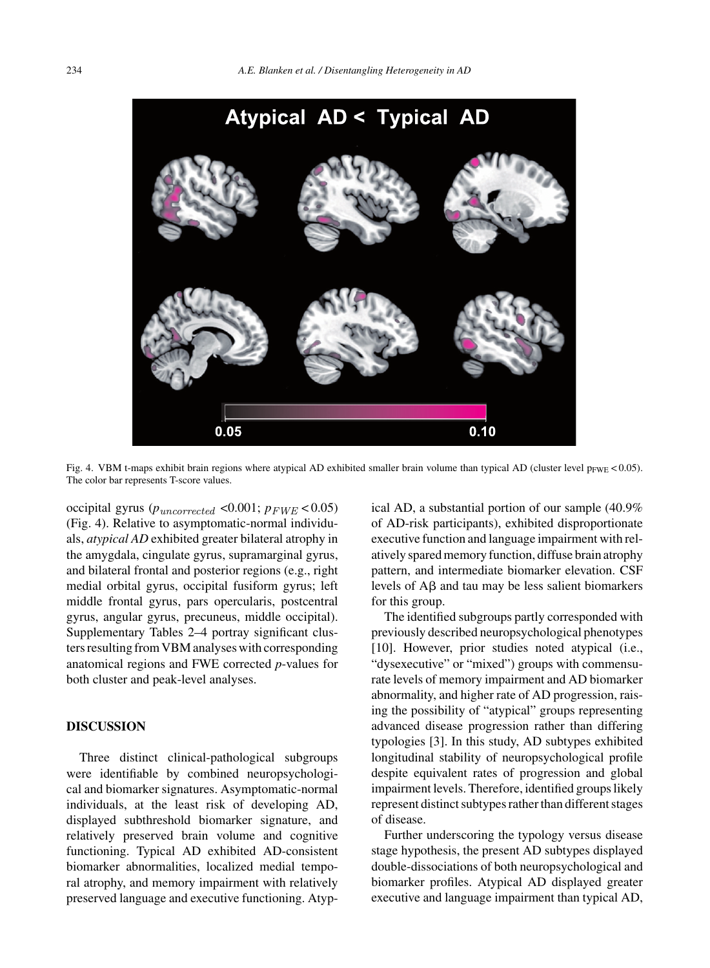

Fig. 4. VBM t-maps exhibit brain regions where atypical AD exhibited smaller brain volume than typical AD (cluster level  $p_{FWE}$  < 0.05). The color bar represents T-score values.

occipital gyrus ( $p_{uncorrected}$  <0.001;  $p_{FWE}$  < 0.05) (Fig. 4). Relative to asymptomatic-normal individuals, *atypical AD* exhibited greater bilateral atrophy in the amygdala, cingulate gyrus, supramarginal gyrus, and bilateral frontal and posterior regions (e.g., right medial orbital gyrus, occipital fusiform gyrus; left middle frontal gyrus, pars opercularis, postcentral gyrus, angular gyrus, precuneus, middle occipital). Supplementary Tables 2–4 portray significant clusters resulting from VBM analyses with corresponding anatomical regions and FWE corrected *p*-values for both cluster and peak-level analyses.

# **DISCUSSION**

Three distinct clinical-pathological subgroups were identifiable by combined neuropsychological and biomarker signatures. Asymptomatic-normal individuals, at the least risk of developing AD, displayed subthreshold biomarker signature, and relatively preserved brain volume and cognitive functioning. Typical AD exhibited AD-consistent biomarker abnormalities, localized medial temporal atrophy, and memory impairment with relatively preserved language and executive functioning. Atypical AD, a substantial portion of our sample (40.9% of AD-risk participants), exhibited disproportionate executive function and language impairment with relatively spared memory function, diffuse brain atrophy pattern, and intermediate biomarker elevation. CSF levels of  $\text{A}\beta$  and tau may be less salient biomarkers for this group.

The identified subgroups partly corresponded with previously described neuropsychological phenotypes [10]. However, prior studies noted atypical (i.e., "dysexecutive" or "mixed") groups with commensurate levels of memory impairment and AD biomarker abnormality, and higher rate of AD progression, raising the possibility of "atypical" groups representing advanced disease progression rather than differing typologies [3]. In this study, AD subtypes exhibited longitudinal stability of neuropsychological profile despite equivalent rates of progression and global impairment levels. Therefore, identified groups likely represent distinct subtypes rather than different stages of disease.

Further underscoring the typology versus disease stage hypothesis, the present AD subtypes displayed double-dissociations of both neuropsychological and biomarker profiles. Atypical AD displayed greater executive and language impairment than typical AD,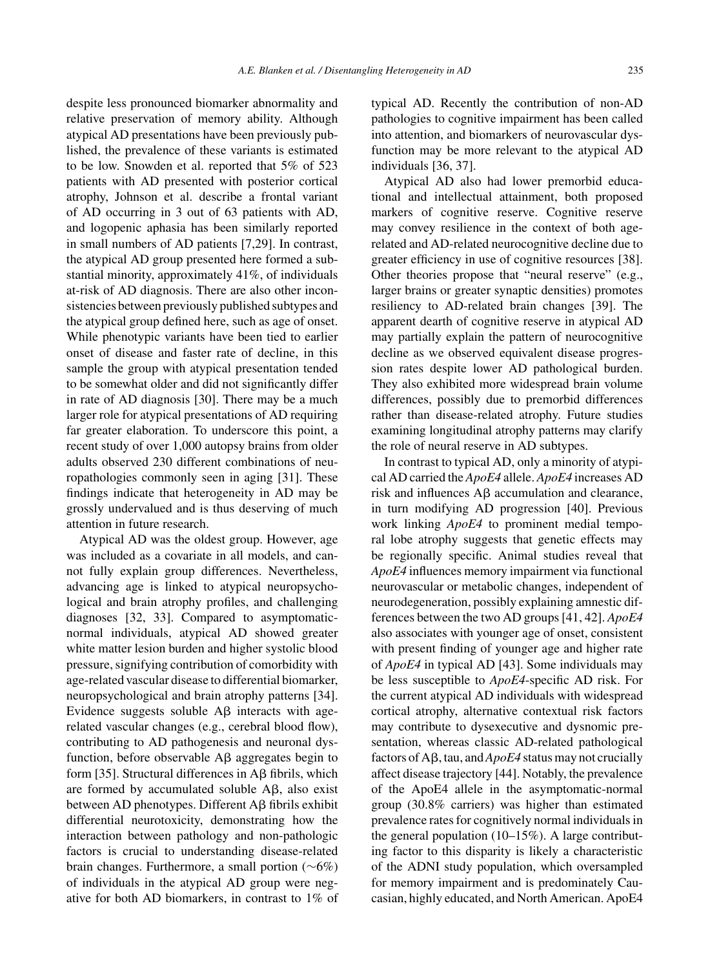despite less pronounced biomarker abnormality and relative preservation of memory ability. Although atypical AD presentations have been previously published, the prevalence of these variants is estimated to be low. Snowden et al. reported that 5% of 523 patients with AD presented with posterior cortical atrophy, Johnson et al. describe a frontal variant of AD occurring in 3 out of 63 patients with AD, and logopenic aphasia has been similarly reported in small numbers of AD patients [7,29]. In contrast, the atypical AD group presented here formed a substantial minority, approximately 41%, of individuals at-risk of AD diagnosis. There are also other inconsistencies between previously published subtypes and the atypical group defined here, such as age of onset. While phenotypic variants have been tied to earlier onset of disease and faster rate of decline, in this sample the group with atypical presentation tended to be somewhat older and did not significantly differ in rate of AD diagnosis [30]. There may be a much larger role for atypical presentations of AD requiring far greater elaboration. To underscore this point, a recent study of over 1,000 autopsy brains from older adults observed 230 different combinations of neuropathologies commonly seen in aging [31]. These findings indicate that heterogeneity in AD may be grossly undervalued and is thus deserving of much attention in future research.

Atypical AD was the oldest group. However, age was included as a covariate in all models, and cannot fully explain group differences. Nevertheless, advancing age is linked to atypical neuropsychological and brain atrophy profiles, and challenging diagnoses [32, 33]. Compared to asymptomaticnormal individuals, atypical AD showed greater white matter lesion burden and higher systolic blood pressure, signifying contribution of comorbidity with age-related vascular disease to differential biomarker, neuropsychological and brain atrophy patterns [34]. Evidence suggests soluble  $\overrightarrow{AB}$  interacts with agerelated vascular changes (e.g., cerebral blood flow), contributing to AD pathogenesis and neuronal dysfunction, before observable  $\text{A}\beta$  aggregates begin to form [35]. Structural differences in  $\text{A}\beta$  fibrils, which are formed by accumulated soluble  $A\beta$ , also exist between AD phenotypes. Different Aß fibrils exhibit differential neurotoxicity, demonstrating how the interaction between pathology and non-pathologic factors is crucial to understanding disease-related brain changes. Furthermore, a small portion (∼6%) of individuals in the atypical AD group were negative for both AD biomarkers, in contrast to 1% of typical AD. Recently the contribution of non-AD pathologies to cognitive impairment has been called into attention, and biomarkers of neurovascular dysfunction may be more relevant to the atypical AD individuals [36, 37].

Atypical AD also had lower premorbid educational and intellectual attainment, both proposed markers of cognitive reserve. Cognitive reserve may convey resilience in the context of both agerelated and AD-related neurocognitive decline due to greater efficiency in use of cognitive resources [38]. Other theories propose that "neural reserve" (e.g., larger brains or greater synaptic densities) promotes resiliency to AD-related brain changes [39]. The apparent dearth of cognitive reserve in atypical AD may partially explain the pattern of neurocognitive decline as we observed equivalent disease progression rates despite lower AD pathological burden. They also exhibited more widespread brain volume differences, possibly due to premorbid differences rather than disease-related atrophy. Future studies examining longitudinal atrophy patterns may clarify the role of neural reserve in AD subtypes.

In contrast to typical AD, only a minority of atypical AD carried the *ApoE4* allele. *ApoE4* increases AD risk and influences  $\text{A}\beta$  accumulation and clearance, in turn modifying AD progression [40]. Previous work linking *ApoE4* to prominent medial temporal lobe atrophy suggests that genetic effects may be regionally specific. Animal studies reveal that *ApoE4* influences memory impairment via functional neurovascular or metabolic changes, independent of neurodegeneration, possibly explaining amnestic differences between the two AD groups [41, 42]. *ApoE4* also associates with younger age of onset, consistent with present finding of younger age and higher rate of *ApoE4* in typical AD [43]. Some individuals may be less susceptible to *ApoE4*-specific AD risk. For the current atypical AD individuals with widespread cortical atrophy, alternative contextual risk factors may contribute to dysexecutive and dysnomic presentation, whereas classic AD-related pathological factors of  $A\beta$ , tau, and  $ApoE4$  status may not crucially affect disease trajectory [44]. Notably, the prevalence of the ApoE4 allele in the asymptomatic-normal group (30.8% carriers) was higher than estimated prevalence rates for cognitively normal individuals in the general population (10–15%). A large contributing factor to this disparity is likely a characteristic of the ADNI study population, which oversampled for memory impairment and is predominately Caucasian, highly educated, and North American. ApoE4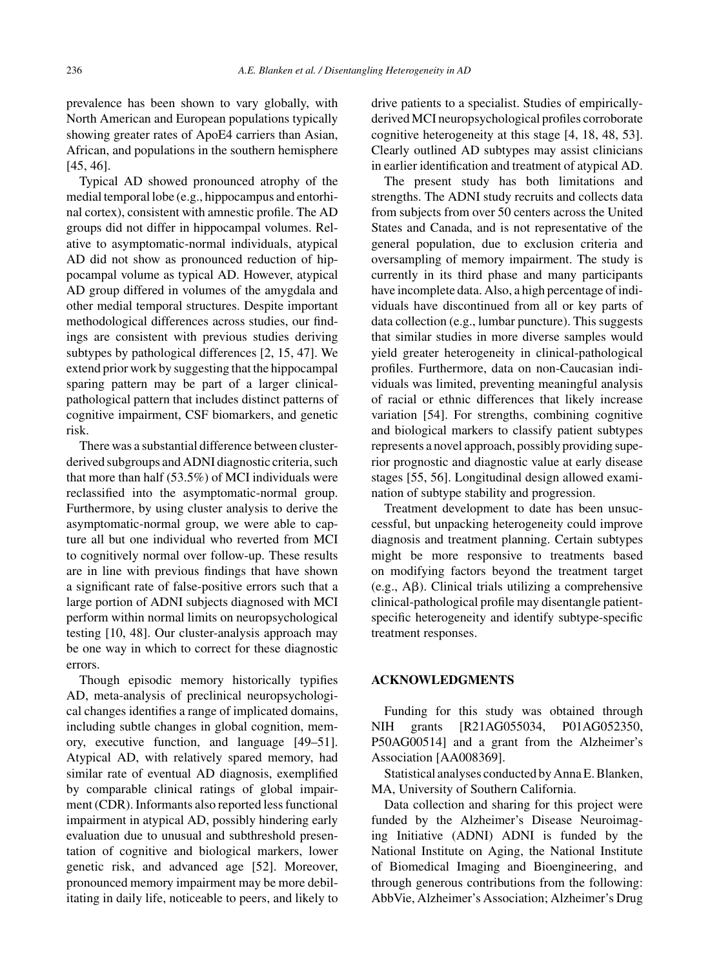prevalence has been shown to vary globally, with North American and European populations typically showing greater rates of ApoE4 carriers than Asian, African, and populations in the southern hemisphere [45, 46].

Typical AD showed pronounced atrophy of the medial temporal lobe (e.g., hippocampus and entorhinal cortex), consistent with amnestic profile. The AD groups did not differ in hippocampal volumes. Relative to asymptomatic-normal individuals, atypical AD did not show as pronounced reduction of hippocampal volume as typical AD. However, atypical AD group differed in volumes of the amygdala and other medial temporal structures. Despite important methodological differences across studies, our findings are consistent with previous studies deriving subtypes by pathological differences [2, 15, 47]. We extend prior work by suggesting that the hippocampal sparing pattern may be part of a larger clinicalpathological pattern that includes distinct patterns of cognitive impairment, CSF biomarkers, and genetic risk.

There was a substantial difference between clusterderived subgroups and ADNI diagnostic criteria, such that more than half (53.5%) of MCI individuals were reclassified into the asymptomatic-normal group. Furthermore, by using cluster analysis to derive the asymptomatic-normal group, we were able to capture all but one individual who reverted from MCI to cognitively normal over follow-up. These results are in line with previous findings that have shown a significant rate of false-positive errors such that a large portion of ADNI subjects diagnosed with MCI perform within normal limits on neuropsychological testing [10, 48]. Our cluster-analysis approach may be one way in which to correct for these diagnostic errors.

Though episodic memory historically typifies AD, meta-analysis of preclinical neuropsychological changes identifies a range of implicated domains, including subtle changes in global cognition, memory, executive function, and language [49–51]. Atypical AD, with relatively spared memory, had similar rate of eventual AD diagnosis, exemplified by comparable clinical ratings of global impairment (CDR). Informants also reported less functional impairment in atypical AD, possibly hindering early evaluation due to unusual and subthreshold presentation of cognitive and biological markers, lower genetic risk, and advanced age [52]. Moreover, pronounced memory impairment may be more debilitating in daily life, noticeable to peers, and likely to drive patients to a specialist. Studies of empiricallyderived MCI neuropsychological profiles corroborate cognitive heterogeneity at this stage [4, 18, 48, 53]. Clearly outlined AD subtypes may assist clinicians in earlier identification and treatment of atypical AD.

The present study has both limitations and strengths. The ADNI study recruits and collects data from subjects from over 50 centers across the United States and Canada, and is not representative of the general population, due to exclusion criteria and oversampling of memory impairment. The study is currently in its third phase and many participants have incomplete data. Also, a high percentage of individuals have discontinued from all or key parts of data collection (e.g., lumbar puncture). This suggests that similar studies in more diverse samples would yield greater heterogeneity in clinical-pathological profiles. Furthermore, data on non-Caucasian individuals was limited, preventing meaningful analysis of racial or ethnic differences that likely increase variation [54]. For strengths, combining cognitive and biological markers to classify patient subtypes represents a novel approach, possibly providing superior prognostic and diagnostic value at early disease stages [55, 56]. Longitudinal design allowed examination of subtype stability and progression.

Treatment development to date has been unsuccessful, but unpacking heterogeneity could improve diagnosis and treatment planning. Certain subtypes might be more responsive to treatments based on modifying factors beyond the treatment target  $(e.g., A\beta)$ . Clinical trials utilizing a comprehensive clinical-pathological profile may disentangle patientspecific heterogeneity and identify subtype-specific treatment responses.

# **ACKNOWLEDGMENTS**

Funding for this study was obtained through NIH grants [R21AG055034, P01AG052350, P50AG00514] and a grant from the Alzheimer's Association [AA008369].

Statistical analyses conducted by Anna E. Blanken, MA, University of Southern California.

Data collection and sharing for this project were funded by the Alzheimer's Disease Neuroimaging Initiative (ADNI) ADNI is funded by the National Institute on Aging, the National Institute of Biomedical Imaging and Bioengineering, and through generous contributions from the following: AbbVie, Alzheimer's Association; Alzheimer's Drug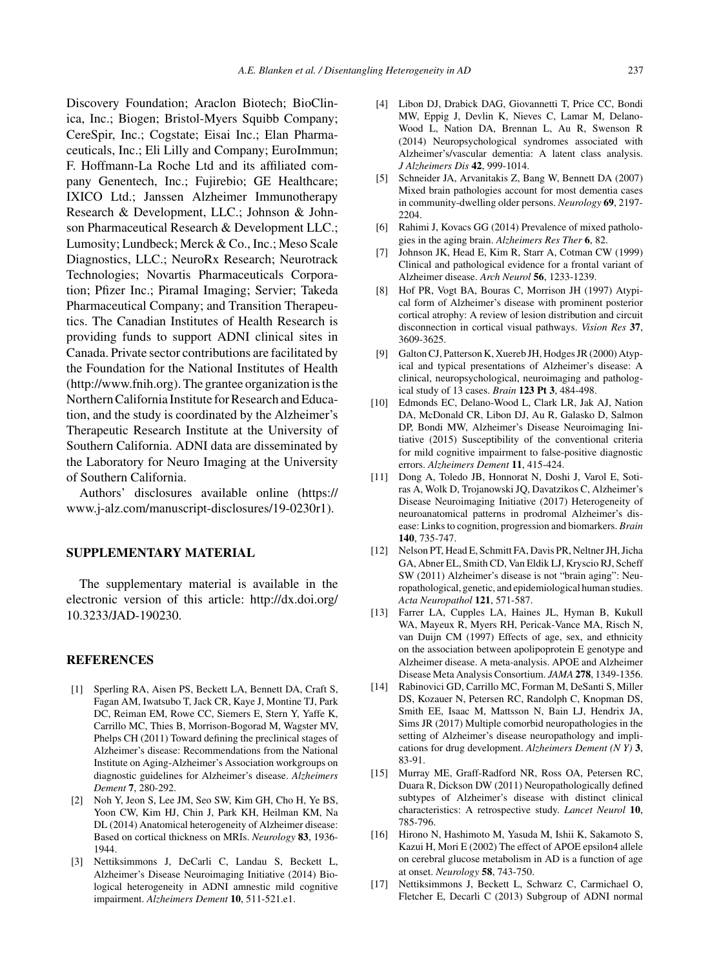Discovery Foundation; Araclon Biotech; BioClinica, Inc.; Biogen; Bristol-Myers Squibb Company; CereSpir, Inc.; Cogstate; Eisai Inc.; Elan Pharmaceuticals, Inc.; Eli Lilly and Company; EuroImmun; F. Hoffmann-La Roche Ltd and its affiliated company Genentech, Inc.; Fujirebio; GE Healthcare; IXICO Ltd.; Janssen Alzheimer Immunotherapy Research & Development, LLC.; Johnson & Johnson Pharmaceutical Research & Development LLC.; Lumosity; Lundbeck; Merck & Co., Inc.; Meso Scale Diagnostics, LLC.; NeuroRx Research; Neurotrack Technologies; Novartis Pharmaceuticals Corporation; Pfizer Inc.; Piramal Imaging; Servier; Takeda Pharmaceutical Company; and Transition Therapeutics. The Canadian Institutes of Health Research is providing funds to support ADNI clinical sites in Canada. Private sector contributions are facilitated by the Foundation for the National Institutes of Health [\(http://www.fnih.org](http://www.fnih.org)). The grantee organization is the Northern California Institute for Research and Education, and the study is coordinated by the Alzheimer's Therapeutic Research Institute at the University of Southern California. ADNI data are disseminated by the Laboratory for Neuro Imaging at the University of Southern California.

Authors' disclosures available online ([https://](https://www.j-alz.com/manuscript-disclosures/19-0230r1) [www.j-alz.com/manuscript-disclosures/19-0230r1\)](https://www.j-alz.com/manuscript-disclosures/19-0230r1).

# **SUPPLEMENTARY MATERIAL**

The supplementary material is available in the electronic version of this article: [http://dx.doi.org/](http://dx.doi.org/10.3233/JAD-190230) [10.3233/JAD-190230.](http://dx.doi.org/10.3233/JAD-190230)

## **REFERENCES**

- [1] Sperling RA, Aisen PS, Beckett LA, Bennett DA, Craft S, Fagan AM, Iwatsubo T, Jack CR, Kaye J, Montine TJ, Park DC, Reiman EM, Rowe CC, Siemers E, Stern Y, Yaffe K, Carrillo MC, Thies B, Morrison-Bogorad M, Wagster MV, Phelps CH (2011) Toward defining the preclinical stages of Alzheimer's disease: Recommendations from the National Institute on Aging-Alzheimer's Association workgroups on diagnostic guidelines for Alzheimer's disease. *Alzheimers Dement* **7**, 280-292.
- [2] Noh Y, Jeon S, Lee JM, Seo SW, Kim GH, Cho H, Ye BS, Yoon CW, Kim HJ, Chin J, Park KH, Heilman KM, Na DL (2014) Anatomical heterogeneity of Alzheimer disease: Based on cortical thickness on MRIs. *Neurology* **83**, 1936- 1944.
- [3] Nettiksimmons J, DeCarli C, Landau S, Beckett L, Alzheimer's Disease Neuroimaging Initiative (2014) Biological heterogeneity in ADNI amnestic mild cognitive impairment. *Alzheimers Dement* **10**, 511-521.e1.
- [4] Libon DJ, Drabick DAG, Giovannetti T, Price CC, Bondi MW, Eppig J, Devlin K, Nieves C, Lamar M, Delano-Wood L, Nation DA, Brennan L, Au R, Swenson R (2014) Neuropsychological syndromes associated with Alzheimer's/vascular dementia: A latent class analysis. *J Alzheimers Dis* **42**, 999-1014.
- [5] Schneider JA, Arvanitakis Z, Bang W, Bennett DA (2007) Mixed brain pathologies account for most dementia cases in community-dwelling older persons. *Neurology* **69**, 2197- 2204.
- [6] Rahimi J, Kovacs GG (2014) Prevalence of mixed pathologies in the aging brain. *Alzheimers Res Ther* **6**, 82.
- [7] Johnson JK, Head E, Kim R, Starr A, Cotman CW (1999) Clinical and pathological evidence for a frontal variant of Alzheimer disease. *Arch Neurol* **56**, 1233-1239.
- [8] Hof PR, Vogt BA, Bouras C, Morrison JH (1997) Atypical form of Alzheimer's disease with prominent posterior cortical atrophy: A review of lesion distribution and circuit disconnection in cortical visual pathways. *Vision Res* **37**, 3609-3625.
- [9] Galton CJ, Patterson K, Xuereb JH, Hodges JR (2000) Atypical and typical presentations of Alzheimer's disease: A clinical, neuropsychological, neuroimaging and pathological study of 13 cases. *Brain* **123 Pt 3**, 484-498.
- [10] Edmonds EC, Delano-Wood L, Clark LR, Jak AJ, Nation DA, McDonald CR, Libon DJ, Au R, Galasko D, Salmon DP, Bondi MW, Alzheimer's Disease Neuroimaging Initiative (2015) Susceptibility of the conventional criteria for mild cognitive impairment to false-positive diagnostic errors. *Alzheimers Dement* **11**, 415-424.
- [11] Dong A, Toledo JB, Honnorat N, Doshi J, Varol E, Sotiras A, Wolk D, Trojanowski JQ, Davatzikos C, Alzheimer's Disease Neuroimaging Initiative (2017) Heterogeneity of neuroanatomical patterns in prodromal Alzheimer's disease: Links to cognition, progression and biomarkers. *Brain* **140**, 735-747.
- [12] Nelson PT, Head E, Schmitt FA, Davis PR, Neltner JH, Jicha GA, Abner EL, Smith CD, Van Eldik LJ, Kryscio RJ, Scheff SW (2011) Alzheimer's disease is not "brain aging": Neuropathological, genetic, and epidemiological human studies. *Acta Neuropathol* **121**, 571-587.
- [13] Farrer LA, Cupples LA, Haines JL, Hyman B, Kukull WA, Mayeux R, Myers RH, Pericak-Vance MA, Risch N, van Duijn CM (1997) Effects of age, sex, and ethnicity on the association between apolipoprotein E genotype and Alzheimer disease. A meta-analysis. APOE and Alzheimer Disease Meta Analysis Consortium. *JAMA* **278**, 1349-1356.
- [14] Rabinovici GD, Carrillo MC, Forman M, DeSanti S, Miller DS, Kozauer N, Petersen RC, Randolph C, Knopman DS, Smith EE, Isaac M, Mattsson N, Bain LJ, Hendrix JA, Sims JR (2017) Multiple comorbid neuropathologies in the setting of Alzheimer's disease neuropathology and implications for drug development. *Alzheimers Dement (N Y)* **3**, 83-91.
- [15] Murray ME, Graff-Radford NR, Ross OA, Petersen RC, Duara R, Dickson DW (2011) Neuropathologically defined subtypes of Alzheimer's disease with distinct clinical characteristics: A retrospective study. *Lancet Neurol* **10**, 785-796.
- [16] Hirono N, Hashimoto M, Yasuda M, Ishii K, Sakamoto S, Kazui H, Mori E (2002) The effect of APOE epsilon4 allele on cerebral glucose metabolism in AD is a function of age at onset. *Neurology* **58**, 743-750.
- [17] Nettiksimmons J, Beckett L, Schwarz C, Carmichael O, Fletcher E, Decarli C (2013) Subgroup of ADNI normal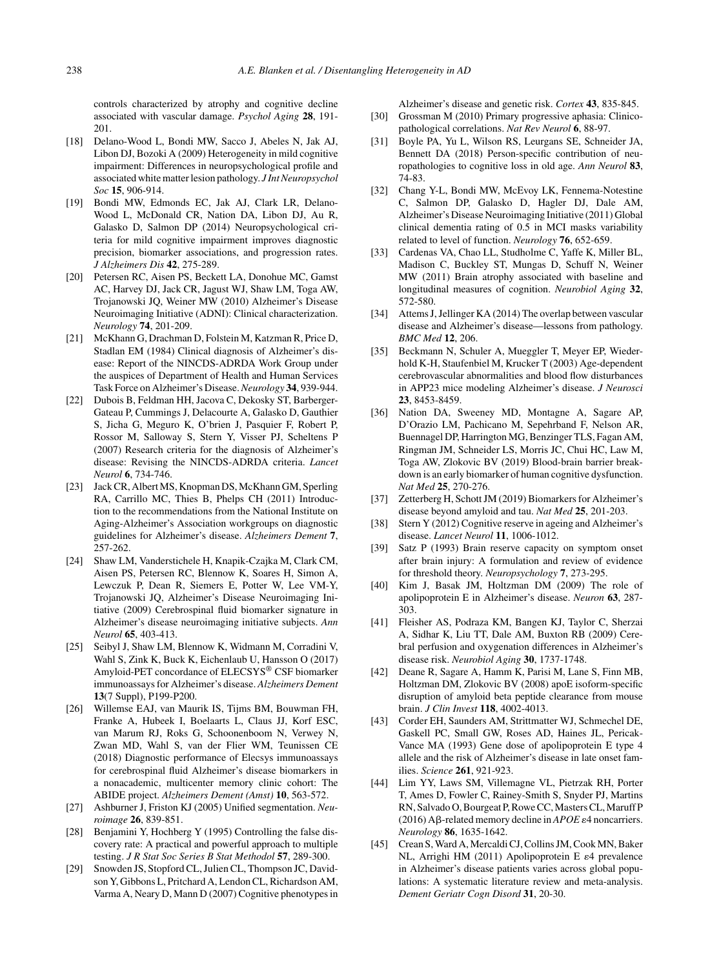controls characterized by atrophy and cognitive decline associated with vascular damage. *Psychol Aging* **28**, 191- 201.

- [18] Delano-Wood L, Bondi MW, Sacco J, Abeles N, Jak AJ, Libon DJ, Bozoki A (2009) Heterogeneity in mild cognitive impairment: Differences in neuropsychological profile and associated white matter lesion pathology. *J Int Neuropsychol Soc* **15**, 906-914.
- [19] Bondi MW, Edmonds EC, Jak AJ, Clark LR, Delano-Wood L, McDonald CR, Nation DA, Libon DJ, Au R, Galasko D, Salmon DP (2014) Neuropsychological criteria for mild cognitive impairment improves diagnostic precision, biomarker associations, and progression rates. *J Alzheimers Dis* **42**, 275-289.
- [20] Petersen RC, Aisen PS, Beckett LA, Donohue MC, Gamst AC, Harvey DJ, Jack CR, Jagust WJ, Shaw LM, Toga AW, Trojanowski JQ, Weiner MW (2010) Alzheimer's Disease Neuroimaging Initiative (ADNI): Clinical characterization. *Neurology* **74**, 201-209.
- [21] McKhann G, Drachman D, Folstein M, Katzman R, Price D, Stadlan EM (1984) Clinical diagnosis of Alzheimer's disease: Report of the NINCDS-ADRDA Work Group under the auspices of Department of Health and Human Services Task Force on Alzheimer's Disease.*Neurology* **34**, 939-944.
- [22] Dubois B, Feldman HH, Jacova C, Dekosky ST, Barberger-Gateau P, Cummings J, Delacourte A, Galasko D, Gauthier S, Jicha G, Meguro K, O'brien J, Pasquier F, Robert P, Rossor M, Salloway S, Stern Y, Visser PJ, Scheltens P (2007) Research criteria for the diagnosis of Alzheimer's disease: Revising the NINCDS-ADRDA criteria. *Lancet Neurol* **6**, 734-746.
- [23] Jack CR, Albert MS, Knopman DS, McKhann GM, Sperling RA, Carrillo MC, Thies B, Phelps CH (2011) Introduction to the recommendations from the National Institute on Aging-Alzheimer's Association workgroups on diagnostic guidelines for Alzheimer's disease. *Alzheimers Dement* **7**, 257-262.
- [24] Shaw LM, Vanderstichele H, Knapik-Czajka M, Clark CM, Aisen PS, Petersen RC, Blennow K, Soares H, Simon A, Lewczuk P, Dean R, Siemers E, Potter W, Lee VM-Y, Trojanowski JQ, Alzheimer's Disease Neuroimaging Initiative (2009) Cerebrospinal fluid biomarker signature in Alzheimer's disease neuroimaging initiative subjects. *Ann Neurol* **65**, 403-413.
- [25] Seibyl J, Shaw LM, Blennow K, Widmann M, Corradini V, Wahl S, Zink K, Buck K, Eichenlaub U, Hansson O (2017) Amyloid-PET concordance of ELECSYS® CSF biomarker immunoassays for Alzheimer's disease. *Alzheimers Dement* **13**(7 Suppl), P199-P200.
- [26] Willemse EAJ, van Maurik IS, Tijms BM, Bouwman FH, Franke A, Hubeek I, Boelaarts L, Claus JJ, Korf ESC, van Marum RJ, Roks G, Schoonenboom N, Verwey N, Zwan MD, Wahl S, van der Flier WM, Teunissen CE (2018) Diagnostic performance of Elecsys immunoassays for cerebrospinal fluid Alzheimer's disease biomarkers in a nonacademic, multicenter memory clinic cohort: The ABIDE project. *Alzheimers Dement (Amst)* **10**, 563-572.
- [27] Ashburner J, Friston KJ (2005) Unified segmentation. *Neuroimage* **26**, 839-851.
- [28] Benjamini Y, Hochberg Y (1995) Controlling the false discovery rate: A practical and powerful approach to multiple testing. *J R Stat Soc Series B Stat Methodol* **57**, 289-300.
- [29] Snowden JS, Stopford CL, Julien CL, Thompson JC, Davidson Y, Gibbons L, Pritchard A, Lendon CL, Richardson AM, Varma A, Neary D, Mann D (2007) Cognitive phenotypes in

Alzheimer's disease and genetic risk. *Cortex* **43**, 835-845.

- [30] Grossman M (2010) Primary progressive aphasia: Clinicopathological correlations. *Nat Rev Neurol* **6**, 88-97.
- [31] Boyle PA, Yu L, Wilson RS, Leurgans SE, Schneider JA, Bennett DA (2018) Person-specific contribution of neuropathologies to cognitive loss in old age. *Ann Neurol* **83**, 74-83.
- [32] Chang Y-L, Bondi MW, McEvoy LK, Fennema-Notestine C, Salmon DP, Galasko D, Hagler DJ, Dale AM, Alzheimer's Disease Neuroimaging Initiative (2011) Global clinical dementia rating of 0.5 in MCI masks variability related to level of function. *Neurology* **76**, 652-659.
- [33] Cardenas VA, Chao LL, Studholme C, Yaffe K, Miller BL, Madison C, Buckley ST, Mungas D, Schuff N, Weiner MW (2011) Brain atrophy associated with baseline and longitudinal measures of cognition. *Neurobiol Aging* **32**, 572-580.
- [34] Attems J, Jellinger KA (2014) The overlap between vascular disease and Alzheimer's disease—lessons from pathology. *BMC Med* **12**, 206.
- [35] Beckmann N, Schuler A, Mueggler T, Meyer EP, Wiederhold K-H, Staufenbiel M, Krucker T (2003) Age-dependent cerebrovascular abnormalities and blood flow disturbances in APP23 mice modeling Alzheimer's disease. *J Neurosci* **23**, 8453-8459.
- [36] Nation DA, Sweeney MD, Montagne A, Sagare AP, D'Orazio LM, Pachicano M, Sepehrband F, Nelson AR, Buennagel DP, Harrington MG, Benzinger TLS, Fagan AM, Ringman JM, Schneider LS, Morris JC, Chui HC, Law M, Toga AW, Zlokovic BV (2019) Blood-brain barrier breakdown is an early biomarker of human cognitive dysfunction. *Nat Med* **25**, 270-276.
- [37] Zetterberg H, Schott JM (2019) Biomarkers for Alzheimer's disease beyond amyloid and tau. *Nat Med* **25**, 201-203.
- [38] Stern Y (2012) Cognitive reserve in ageing and Alzheimer's disease. *Lancet Neurol* **11**, 1006-1012.
- [39] Satz P (1993) Brain reserve capacity on symptom onset after brain injury: A formulation and review of evidence for threshold theory. *Neuropsychology* **7**, 273-295.
- [40] Kim J, Basak JM, Holtzman DM (2009) The role of apolipoprotein E in Alzheimer's disease. *Neuron* **63**, 287- 303.
- [41] Fleisher AS, Podraza KM, Bangen KJ, Taylor C, Sherzai A, Sidhar K, Liu TT, Dale AM, Buxton RB (2009) Cerebral perfusion and oxygenation differences in Alzheimer's disease risk. *Neurobiol Aging* **30**, 1737-1748.
- [42] Deane R, Sagare A, Hamm K, Parisi M, Lane S, Finn MB, Holtzman DM, Zlokovic BV (2008) apoE isoform-specific disruption of amyloid beta peptide clearance from mouse brain. *J Clin Invest* **118**, 4002-4013.
- [43] Corder EH, Saunders AM, Strittmatter WJ, Schmechel DE, Gaskell PC, Small GW, Roses AD, Haines JL, Pericak-Vance MA (1993) Gene dose of apolipoprotein E type 4 allele and the risk of Alzheimer's disease in late onset families. *Science* **261**, 921-923.
- [44] Lim YY, Laws SM, Villemagne VL, Pietrzak RH, Porter T, Ames D, Fowler C, Rainey-Smith S, Snyder PJ, Martins RN, Salvado O, Bourgeat P, Rowe CC, Masters CL, Maruff P (2016) A $\beta$ -related memory decline in *APOE*  $\epsilon$ 4 noncarriers. *Neurology* **86**, 1635-1642.
- [45] Crean S, Ward A, Mercaldi CJ, Collins JM, Cook MN, Baker NL, Arrighi HM (2011) Apolipoprotein E  $\varepsilon$ 4 prevalence in Alzheimer's disease patients varies across global populations: A systematic literature review and meta-analysis. *Dement Geriatr Cogn Disord* **31**, 20-30.